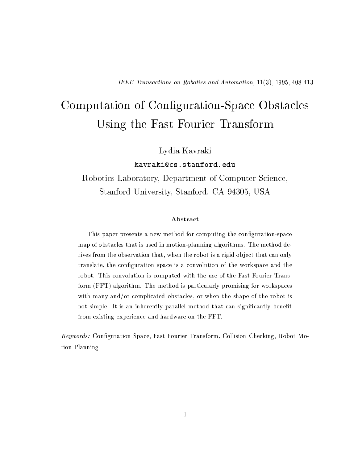# Computation of Configuration-Space Obstacles Using the Fast Fourier Transform

Lydia Kavraki

kavraki@cs.stanford.edu

Robotics Laboratory, Department of Computer Science, Stanford University, Stanford, CA 94305, USA

### Abstract

This paper presents a new method for computing the configuration-space map of obstacles that is used in motion-planning algorithms. The method derives from the observation that, when the robot is a rigid object that can only translate, the configuration space is a convolution of the workspace and the robot. This convolution is computed with the use of the Fast Fourier Transform (FFT) algorithm. The method is particularly promising for workspaces with many and/or complicated obstacles, or when the shape of the robot is not simple. It is an inherently parallel method that can significantly benefit from existing experience and hardware on the FFT.

Keywords: Configuration Space, Fast Fourier Transform, Collision Checking, Robot Motion Planning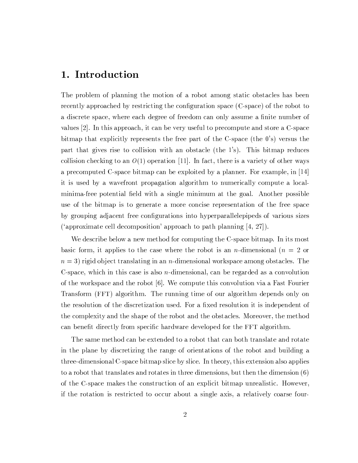### 1. Introduction

The problem of planning the motion of a robot among static obstacles has been recently approached by restricting the configuration space (C-space) of the robot to a discrete space, where each degree of freedom can only assume a finite number of values [2]. In this approach, it can be very useful to precompute and store a C-space bitmap that explicitly represents the free part of the C-space (the  $0$ 's) versus the part that gives rise to collision with an obstacle (the 1's). This bitmap reduces collision checking to an  $O(1)$  operation [11]. In fact, there is a variety of other ways a precomputed C-space bitmap can be exploited by a planner. For example, in  $[14]$ it is used by a wavefront propagation algorithm to numerically compute a localminima-free potential field with a single minimum at the goal. Another possible use of the bitmap is to generate a more concise representation of the free space by grouping adjacent free configurations into hyperparallelepipeds of various sizes ('approximate cell decomposition' approach to path planning  $(4, 27)$ ).

We describe below a new method for computing the C-space bitmap. In its most basic form, it applies to the case where the robot is an *n*-dimensional ( $n = 2$  or  $n=3$ ) rigid object translating in an *n*-dimensional workspace among obstacles. The C-space, which in this case is also *n*-dimensional, can be regarded as a convolution of the workspace and the robot [6]. We compute this convolution via a Fast Fourier Transform (FFT) algorithm. The running time of our algorithm depends only on the resolution of the discretization used. For a fixed resolution it is independent of the complexity and the shape of the robot and the obstacles. Moreover, the method can benefit directly from specific hardware developed for the FFT algorithm.

The same method can be extended to a robot that can both translate and rotate in the plane by discretizing the range of orientations of the robot and building a three-dimensional C-space bitmap slice by slice. In theory, this extension also applies to a robot that translates and rotates in three dimensions, but then the dimension (6) of the C-space makes the construction of an explicit bitmap unrealistic. However, if the rotation is restricted to occur about a single axis, a relatively coarse four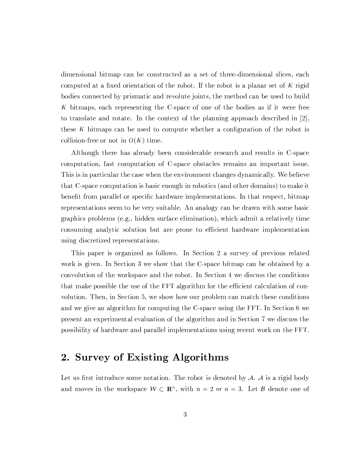dimensional bitmap can be constructed as a set of three-dimensional slices, each computed at a fixed orientation of the robot. If the robot is a planar set of K rigid bodies connected by prismatic and revolute joints, the method can be used to build K bitmaps, each representing the C-space of one of the bodies as if it were free to translate and rotate. In the context of the planning approach described in  $[2]$ , these K bitmaps can be used to compute whether a configuration of the robot is collision-free or not in  $O(K)$  time.

Although there has already been considerable research and results in C-space computation, fast computation of C-space obstacles remains an important issue. This is in particular the case when the environment changes dynamically. We believe that C-space computation is basic enough in robotics (and other domains) to make it benefit from parallel or specific hardware implementations. In that respect, bitmap representations seem to be very suitable. An analogy can be drawn with some basic graphics problems (e.g., hidden surface elimination), which admit a relatively time consuming analytic solution but are prone to efficient hardware implementation using discretized representations.

This paper is organized as follows. In Section 2 a survey of previous related work is given. In Section 3 we show that the C-space bitmap can be obtained by a convolution of the workspace and the robot. In Section 4 we discuss the conditions that make possible the use of the FFT algorithm for the efficient calculation of convolution. Then, in Section 5, we show how our problem can match these conditions and we give an algorithm for computing the C-space using the FFT. In Section 6 we present an experimental evaluation of the algorithm and in Section 7 we discuss the possibility of hardware and parallel implementations using recent work on the FFT.

## 2. Survey of Existing Algorithms

Let us first introduce some notation. The robot is denoted by  $A$ .  $A$  is a rigid body and moves in the workspace  $W \subset \mathbb{R}^n$ , with  $n = 2$  or  $n = 3$ . Let B denote one of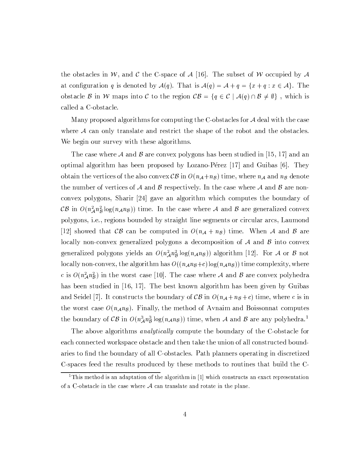the obstacles in W, and C the C-space of A [16]. The subset of W occupied by A at configuration q is denoted by  $\mathcal{A}(q)$ . That is  $\mathcal{A}(q) = \mathcal{A} + q = \{x + q : x \in \mathcal{A}\}\.$  The obstacle B in W maps into C to the region  $CB = \{q \in C \mid A(q) \cap B \neq \emptyset\}$ , which is called a C-obstacle.

Many proposed algorithms for computing the C-obstacles for  $A$  deal with the case where  $A$  can only translate and restrict the shape of the robot and the obstacles. We begin our survey with these algorithms.

The case where A and B are convex polygons has been studied in [15, 17] and an optimal algorithm has been proposed by Lozano-Pérez [17] and Guibas [6]. They obtain the vertices of the also convex  $\mathcal{CB}$  in  $O(n_{\mathcal{A}}+n_{\mathcal{B}})$  time, where  $n_{\mathcal{A}}$  and  $n_{\mathcal{B}}$  denote the number of vertices of A and B respectively. In the case where A and B are nonconvex polygons, Sharir [24] gave an algorithm which computes the boundary of CB in  $O(n_A^2 n_B^2 \log(n_A n_B))$  time. In the case where A and B are generalized convex polygons, i.e., regions bounded by straight line segments or circular arcs, Laumond |12| showed that  $\mathcal{CB}$  can be computed in  $O(n_A + n_B)$  time. When A and B are locally non-convex generalized polygons a decomposition of  $A$  and  $B$  into convex generalized polygons yields an  $O(n_A^2 n_B^2 \log(n_A n_B))$  algorithm [12]. For A or B not locally non-convex, the algorithm has  $O((n_{A}n_{B}+c)\log(n_{A}n_{B}))$  time complexity, where c is  $O(n_A^2 n_B^2)$  in the worst case [10]. The case where A and B are convex polyhedra has been studied in [16, 17]. The best known algorithm has been given by Guibas and Seidel [7]. It constructs the boundary of  $\mathcal{CB}$  in  $O(n_{\mathcal{A}}+n_{\mathcal{B}}+c)$  time, where c is in the worst case  $O(n_{A}n_{B})$ . Finally, the method of Avnaim and Boissonnat computes the boundary of CB in  $O(n_A^3 n_B^3 \log(n_A n_B))$  time, when A and B are any polyhedra.<sup>1</sup>

The above algorithms *analytically* compute the boundary of the C-obstacle for each connected workspace obstacle and then take the union of all constructed boundaries to find the boundary of all C-obstacles. Path planners operating in discretized C-spaces feed the results produced by these methods to routines that build the C-

<sup>&</sup>lt;sup>1</sup>This method is an adaptation of the algorithm in [1] which constructs an exact representation of a C-obstacle in the case where  $A$  can translate and rotate in the plane.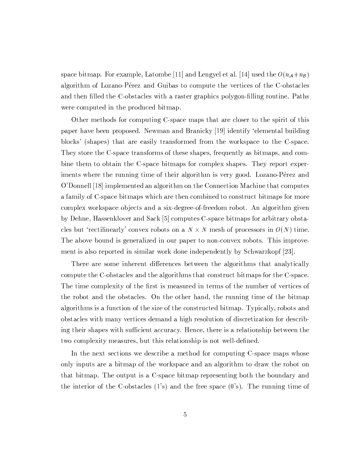space bitmap. For example, Latombe [11] and Lengyel et al. [14] used the  $O(n_A+n_B)$ algorithm of Lozano-Pérez and Guibas to compute the vertices of the C-obstacles and then filled the C-obstacles with a raster graphics polygon-filling routine. Paths were computed in the produced bitmap.

Other methods for computing C-space maps that are closer to the spirit of this paper have been proposed. Newman and Branicky [19] identify 'elemental building blocks' (shapes) that are easily transformed from the workspace to the C-space. They store the C-space transforms of these shapes, frequently as bitmaps, and combine them to obtain the C-space bitmaps for complex shapes. They report experiments where the running time of their algorithm is very good. Lozano-Pérez and O'Donnell [18] implemented an algorithm on the Connection Machine that computes a family of C-space bitmaps which are then combined to construct bitmaps for more complex workspace objects and a six-degree-of-freedom robot. An algorithm given by Dehne, Hassenklover and Sack [5] computes C-space bitmaps for arbitrary obstacles but 'rectilinearly' convex robots on a  $N \times N$  mesh of processors in  $O(N)$  time. The above bound is generalized in our paper to non-convex robots. This improvement is also reported in similar work done independently by Schwarzkopf [23].

There are some inherent differences between the algorithms that analytically compute the C-obstacles and the algorithms that construct bitmaps for the C-space. The time complexity of the first is measured in terms of the number of vertices of the robot and the obstacles. On the other hand, the running time of the bitmap algorithms is a function of the size of the constructed bitmap. Typically, robots and obstacles with many vertices demand a high resolution of discretization for describing their shapes with sufficient accuracy. Hence, there is a relationship between the two complexity measures, but this relationship is not well-defined.

In the next sections we describe a method for computing C-space maps whose only inputs are a bitmap of the workspace and an algorithm to draw the robot on that bitmap. The output is a C-space bitmap representing both the boundary and the interior of the C-obstacles  $(1)$ 's) and the free space  $(0)$ 's). The running time of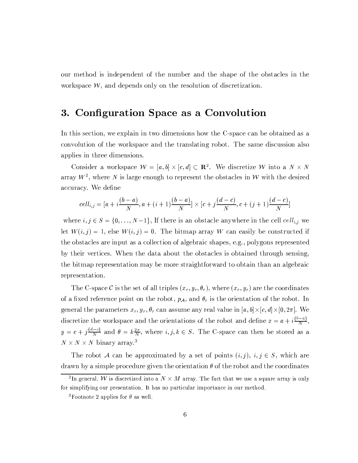our method is independent of the number and the shape of the obstacles in the workspace  $W$ , and depends only on the resolution of discretization.

#### Configuration Space as a Convolution 3.

In this section, we explain in two dimensions how the C-space can be obtained as a convolution of the workspace and the translating robot. The same discussion also applies in three dimensions.

Consider a workspace  $W = [a, b] \times [c, d] \subset \mathbb{R}^2$ . We discretize W into a  $N \times N$ array  $W^2$ , where N is large enough to represent the obstacles in W with the desired accuracy. We define

$$
cell_{i,j} = [a + i\frac{(b-a)}{N}, a + (i+1)\frac{(b-a)}{N}] \times [c + j\frac{(d-c)}{N}, c + (j+1)\frac{(d-c)}{N}]
$$

where  $i, j \in S = \{0, ..., N-1\}$ , If there is an obstacle anywhere in the cell  $cell_{i,j}$  we let  $W(i, j) = 1$ , else  $W(i, j) = 0$ . The bitmap array W can easily be constructed if the obstacles are input as a collection of algebraic shapes, e.g., polygons represented by their vertices. When the data about the obstacles is obtained through sensing, the bitmap representation may be more straightforward to obtain than an algebraic representation.

The C-space C is the set of all triples  $(x_r, y_r, \theta_r)$ , where  $(x_r, y_r)$  are the coordinates of a fixed reference point on the robot,  $p_{\mathcal{A}}$ , and  $\theta_r$  is the orientation of the robot. In general the parameters  $x_r, y_r, \theta_r$  can assume any real value in  $[a, b] \times [c, d] \times [0, 2\pi]$ . We discretize the workspace and the orientations of the robot and define  $x = a + i\frac{(b-a)}{N}$ ,  $y = c + j\frac{d-c}{N}$  and  $\theta = k\frac{2\pi}{N}$ , where  $i, j, k \in S$ . The C-space can then be stored as a  $N \times N \times N$  binary array.<sup>3</sup>

The robot A can be approximated by a set of points  $(i, j)$ ,  $i, j \in S$ , which are drawn by a simple procedure given the orientation  $\theta$  of the robot and the coordinates

 $^2$ In general,  ${\cal W}$  is discretized into a  $N\times M$  array. The fact that we use a square array is only for simplifying our presentation. It has no particular importance in our method.

<sup>&</sup>lt;sup>3</sup>Footnote 2 applies for  $\theta$  as well.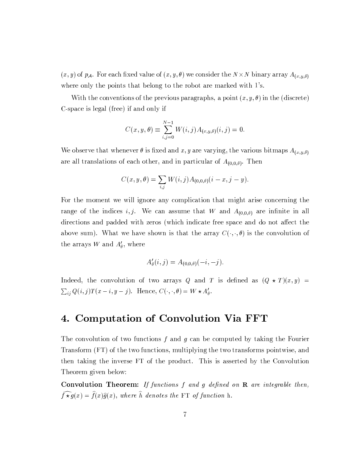$(x, y)$  of  $p_{\mathcal{A}}$ . For each fixed value of  $(x, y, \theta)$  we consider the  $N \times N$  binary array  $A_{(x, y, \theta)}$ where only the points that belong to the robot are marked with 1's.

With the conventions of the previous paragraphs, a point  $(x, y, \theta)$  in the (discrete) C-space is legal (free) if and only if

$$
C(x, y, \theta) \equiv \sum_{i,j=0}^{N-1} W(i,j) A_{(x, y, \theta)}(i,j) = 0
$$

We observe that whenever  $\theta$  is fixed and x, y are varying, the various bitmaps  $A_{(x,y,\theta)}$ are all translations of each other, and in particular of  $A_{(0,0,\theta)}$ . Then

$$
C(x, y, \theta) = \sum_{i,j} W(i,j) A_{(0,0,\theta)}(i - x, j - y).
$$

For the moment we will ignore any complication that might arise concerning the range of the indices *i*, *j*. We can assume that W and  $A_{(0,0,\theta)}$  are infinite in all directions and padded with zeros (which indicate free space and do not affect the above sum). What we have shown is that the array  $C(\cdot, \cdot, \theta)$  is the convolution of the arrays W and  $A'_\theta$ , where

$$
A'_{\theta}(i,j) = A_{(0,0,\theta)}(-i,-j).
$$

Indeed, the convolution of two arrays Q and T is defined as  $(Q \star T)(x, y)$  =  $\sum_{ij} Q(i, j)T(x - i, y - j)$ . Hence,  $C(\cdot, \cdot, \theta) = W \star A'_{\theta}$ .

### 4. Computation of Convolution Via FFT

The convolution of two functions f and g can be computed by taking the Fourier Transform (FT) of the two functions, multiplying the two transforms pointwise, and then taking the inverse FT of the product. This is asserted by the Convolution Theorem given below:

**Convolution Theorem:** If functions f and g defined on  $\bf{R}$  are integrable then,  $\widehat{f \star g}(x) = \widehat{f}(x)\widehat{g}(x)$ , where  $\widehat{h}$  denotes the FT of function h.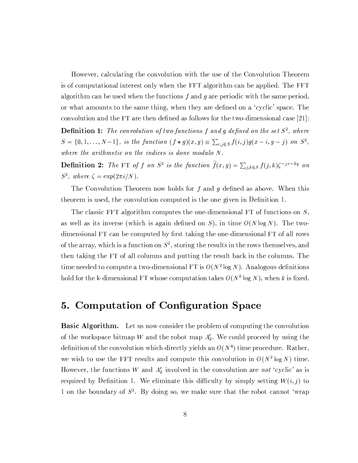However, calculating the convolution with the use of the Convolution Theorem is of computational interest only when the FFT algorithm can be applied. The FFT algorithm can be used when the functions  $f$  and  $g$  are periodic with the same period, or what amounts to the same thing, when they are defined on a 'cyclic' space. The convolution and the FT are then defined as follows for the two-dimensional case  $[21]$ :

**Definition 1:** The convolution of two functions f and g defined on the set  $S^2$ , where  $S = \{0, 1, \ldots, N-1\}$ , is the function  $(f \star g)(x, y) \equiv \sum_{i,j \in S} f(i,j)g(x-i, y-j)$  on  $S^2$ , where the arithmetic on the indices is done modulo  $N$ .

**Definition 2:** The FT of f on  $S^2$  is the function  $\hat{f}(x, y) = \sum_{j,k \in S} f(j,k) \zeta^{-jx - ky}$  on  $S^2$ , where  $\zeta = \exp(2\pi i/N)$ .

The Convolution Theorem now holds for f and g defined as above. When this theorem is used, the convolution computed is the one given in Definition 1.

The classic FFT algorithm computes the one-dimensional FT of functions on  $S$ , as well as its inverse (which is again defined on S), in time  $O(N \log N)$ . The twodimensional FT can be computed by first taking the one-dimensional FT of all rows of the array, which is a function on  $S^2$ , storing the results in the rows themselves, and then taking the FT of all columns and putting the result back in the columns. The time needed to compute a two-dimensional FT is  $O(N^2 \log N)$ . Analogous definitions hold for the k-dimensional FT whose computation takes  $O(N^k \log N)$ , when k is fixed.

#### **Computation of Configuration Space** 5.

**Basic Algorithm.** Let us now consider the problem of computing the convolution of the workspace bitmap W and the robot map  $A'_\theta$ . We could proceed by using the definition of the convolution which directly yields an  $O(N^4)$  time procedure. Rather, we wish to use the FFT results and compute this convolution in  $O(N^2 \log N)$  time. However, the functions W and  $A'_{\theta}$  involved in the convolution are not 'cyclic' as is required by Definition 1. We eliminate this difficulty by simply setting  $W(i, j)$  to 1 on the boundary of  $S^2$ . By doing so, we make sure that the robot cannot 'wrap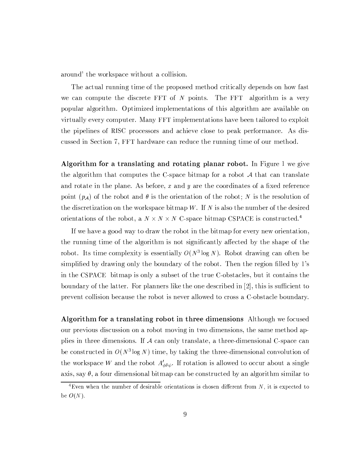around' the workspace without a collision.

The actual running time of the proposed method critically depends on how fast we can compute the discrete FFT of  $N$  points. The FFT algorithm is a very popular algorithm. Optimized implementations of this algorithm are available on virtually every computer. Many FFT implementations have been tailored to exploit the pipelines of RISC processors and achieve close to peak performance. As discussed in Section 7, FFT hardware can reduce the running time of our method.

Algorithm for a translating and rotating planar robot. In Figure 1 we give the algorithm that computes the C-space bitmap for a robot  $A$  that can translate and rotate in the plane. As before, x and y are the coordinates of a fixed reference point  $(p_A)$  of the robot and  $\theta$  is the orientation of the robot; N is the resolution of the discretization on the workspace bitmap  $W$ . If  $N$  is also the number of the desired orientations of the robot, a  $N \times N \times N$  C-space bitmap CSPACE is constructed.<sup>4</sup>

If we have a good way to draw the robot in the bitmap for every new orientation, the running time of the algorithm is not significantly affected by the shape of the robot. Its time complexity is essentially  $O(N^3 \log N)$ . Robot drawing can often be simplified by drawing only the boundary of the robot. Then the region filled by 1's in the CSPACE bitmap is only a subset of the true C-obstacles, but it contains the boundary of the latter. For planners like the one described in [2], this is sufficient to prevent collision because the robot is never allowed to cross a C-obstacle boundary.

**Algorithm for a translating robot in three dimensions** Although we focused our previous discussion on a robot moving in two dimensions, the same method applies in three dimensions. If A can only translate, a three-dimensional C-space can be constructed in  $O(N^3 \log N)$  time, by taking the three-dimensional convolution of the workspace W and the robot  $A'_{\phi\theta\psi}$ . If rotation is allowed to occur about a single axis, say  $\theta$ , a four dimensional bitmap can be constructed by an algorithm similar to

<sup>&</sup>lt;sup>4</sup>Even when the number of desirable orientations is chosen different from  $N$ , it is expected to be  $O(N)$ .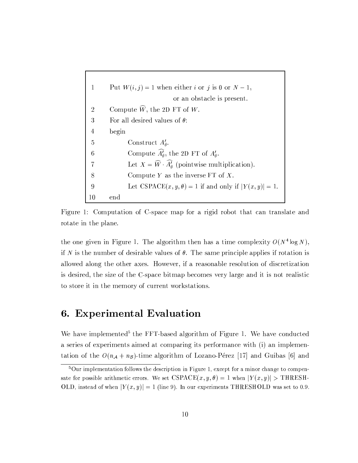```
Put W(i, j) = 1 when either i or j is 0 or N - 1,
\mathbf{1}or an obstacle is present.
          Compute \widehat{W}, the 2D FT of W.
 \overline{2}\overline{3}For all desired values of \theta:
\overline{4}begin
 \overline{5}Construct A'_\theta.
                   Compute \widehat{A}_{\theta}^{\prime}, the 2D FT of A_{\theta}^{\prime}.
 6
                   Let X = \widehat{W} \cdot \widehat{A}_{\theta} (pointwise multiplication).
 \overline{7}Compute Y as the inverse FT of X.
 8
                   Let CSPACE(x, y, \theta) = 1 if and only if |Y(x, y)| = 1.
\boldsymbol{9}10
          end
```
Figure 1: Computation of C-space map for a rigid robot that can translate and rotate in the plane.

the one given in Figure 1. The algorithm then has a time complexity  $O(N^4 \log N)$ , if N is the number of desirable values of  $\theta$ . The same principle applies if rotation is allowed along the other axes. However, if a reasonable resolution of discretization is desired, the size of the C-space bitmap becomes very large and it is not realistic to store it in the memory of current workstations.

### 6. Experimental Evaluation

We have implemented<sup>5</sup> the FFT-based algorithm of Figure 1. We have conducted a series of experiments aimed at comparing its performance with (i) an implementation of the  $O(n_A + n_B)$ -time algorithm of Lozano-Pérez [17] and Guibas [6] and

 $5$ Our implementation follows the description in Figure 1, except for a minor change to compensate for possible arithmetic errors. We set  $CSPACE(x, y, \theta) = 1$  when  $|Y(x, y)| > \text{THRESH}$ OLD, instead of when  $|Y(x, y)| = 1$  (line 9). In our experiments THRESHOLD was set to 0.9.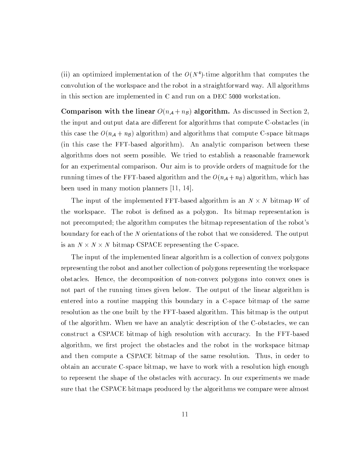(ii) an optimized implementation of the  $O(N^4)$ -time algorithm that computes the convolution of the workspace and the robot in a straightforward way. All algorithms in this section are implemented in C and run on a DEC 5000 workstation.

Comparison with the linear  $O(n_A + n_B)$  algorithm. As discussed in Section 2, the input and output data are different for algorithms that compute C-obstacles (in this case the  $O(n_A + n_B)$  algorithm) and algorithms that compute C-space bitmaps (in this case the FFT-based algorithm). An analytic comparison between these algorithms does not seem possible. We tried to establish a reasonable framework for an experimental comparison. Our aim is to provide orders of magnitude for the running times of the FFT-based algorithm and the  $O(n_A + n_B)$  algorithm, which has been used in many motion planners  $[11, 14]$ .

The input of the implemented FFT-based algorithm is an  $N \times N$  bitmap W of the workspace. The robot is defined as a polygon. Its bitmap representation is not precomputed; the algorithm computes the bitmap representation of the robot's boundary for each of the N orientations of the robot that we considered. The output is an  $N \times N \times N$  bitmap CSPACE representing the C-space.

The input of the implemented linear algorithm is a collection of convex polygons representing the robot and another collection of polygons representing the workspace obstacles. Hence, the decomposition of non-convex polygons into convex ones is not part of the running times given below. The output of the linear algorithm is entered into a routine mapping this boundary in a C-space bitmap of the same resolution as the one built by the FFT-based algorithm. This bitmap is the output of the algorithm. When we have an analytic description of the C-obstacles, we can construct a CSPACE bitmap of high resolution with accuracy. In the FFT-based algorithm, we first project the obstacles and the robot in the workspace bitmap and then compute a CSPACE bitmap of the same resolution. Thus, in order to obtain an accurate C-space bitmap, we have to work with a resolution high enough to represent the shape of the obstacles with accuracy. In our experiments we made sure that the CSPACE bitmaps produced by the algorithms we compare were almost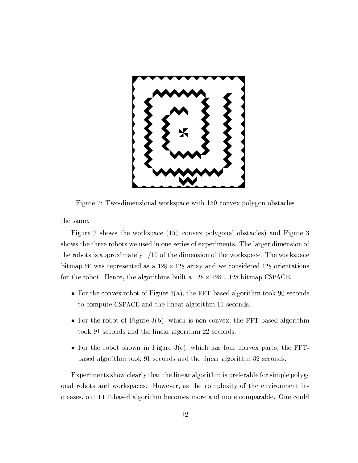

Figure 2: Two-dimensional workspace with 150 convex polygon obstacles

the same.

Figure 2 shows the workspace (150 convex polygonal obstacles) and Figure 3 shows the three robots we used in one series of experiments. The larger dimension of the robots is approximately  $1/10$  of the dimension of the workspace. The workspace bitmap W was represented as a  $128 \times 128$  array and we considered 128 orientations for the robot. Hence, the algorithms built a  $128 \times 128 \times 128$  bitmap CSPACE.

- For the convex robot of Figure 3(a), the FFT-based algorithm took 90 seconds to compute CSPACE and the linear algorithm 11 seconds.
- For the robot of Figure 3(b), which is non-convex, the FFT-based algorithm took 91 seconds and the linear algorithm 22 seconds.
- For the robot shown in Figure 3(c), which has four convex parts, the FFTbased algorithm took 91 seconds and the linear algorithm 32 seconds.

Experiments show clearly that the linear algorithm is preferable for simple polygonal robots and workspaces. However, as the complexity of the environment increases, our FFT-based algorithm becomes more and more comparable. One could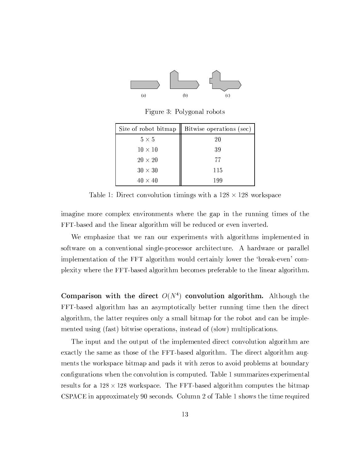

Figure 3: Polygonal robots

| Size of robot bitmap | Bitwise operations (sec) |
|----------------------|--------------------------|
| $5 \times 5$         | 20                       |
| $10 \times 10$       | 39                       |
| $20 \times 20$       | 77                       |
| $30 \times 30$       | 115                      |
| $40 \times 40$       | 199                      |

Table 1: Direct convolution timings with a  $128 \times 128$  workspace

imagine more complex environments where the gap in the running times of the FFT-based and the linear algorithm will be reduced or even inverted.

We emphasize that we ran our experiments with algorithms implemented in software on a conventional single-processor architecture. A hardware or parallel implementation of the FFT algorithm would certainly lower the 'break-even' complexity where the FFT-based algorithm becomes preferable to the linear algorithm.

Comparison with the direct  $O(N^4)$  convolution algorithm. Although the FFT-based algorithm has an asymptotically better running time then the direct algorithm, the latter requires only a small bitmap for the robot and can be implemented using (fast) bitwise operations, instead of (slow) multiplications.

The input and the output of the implemented direct convolution algorithm are exactly the same as those of the FFT-based algorithm. The direct algorithm augments the workspace bitmap and pads it with zeros to avoid problems at boundary configurations when the convolution is computed. Table 1 summarizes experimental results for a  $128 \times 128$  workspace. The FFT-based algorithm computes the bitmap CSPACE in approximately 90 seconds. Column 2 of Table 1 shows the time required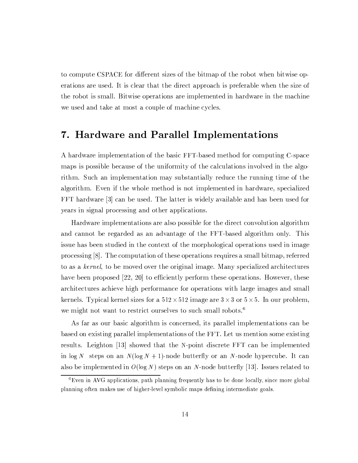to compute CSPACE for different sizes of the bitmap of the robot when bitwise operations are used. It is clear that the direct approach is preferable when the size of the robot is small. Bitwise operations are implemented in hardware in the machine we used and take at most a couple of machine cycles.

### 7. Hardware and Parallel Implementations

A hardware implementation of the basic FFT-based method for computing C-space maps is possible because of the uniformity of the calculations involved in the algorithm. Such an implementation may substantially reduce the running time of the algorithm. Even if the whole method is not implemented in hardware, specialized FFT hardware 3 can be used. The latter is widely available and has been used for years in signal processing and other applications.

Hardware implementations are also possible for the direct convolution algorithm and cannot be regarded as an advantage of the FFT-based algorithm only. This issue has been studied in the context of the morphological operations used in image processing  $[8]$ . The computation of these operations requires a small bitmap, referred to as a kernel, to be moved over the original image. Many specialized architectures have been proposed  $[22, 20]$  to efficiently perform these operations. However, these architectures achieve high performance for operations with large images and small kernels. Typical kernel sizes for a  $512 \times 512$  image are  $3 \times 3$  or  $5 \times 5$ . In our problem, we might not want to restrict ourselves to such small robots.<sup>6</sup>

As far as our basic algorithm is concerned, its parallel implementations can be based on existing parallel implementations of the FFT. Let us mention some existing results. Leighton [13] showed that the N-point discrete FFT can be implemented in  $\log N$  steps on an  $N(\log N + 1)$ -node butterfly or an N-node hypercube. It can also be implemented in  $O(\log N)$  steps on an N-node butterfly [13]. Issues related to

 ${}^6$ Even in AVG applications, path planning frequently has to be done locally, since more global planning often makes use of higher-level symbolic maps defining intermediate goals.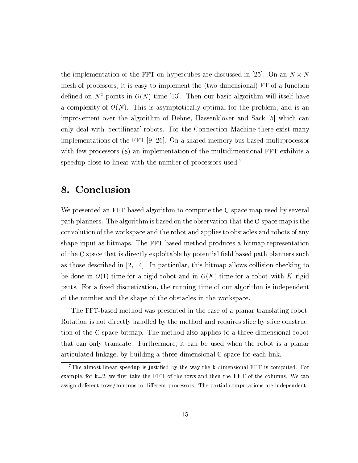the implementation of the FFT on hypercubes are discussed in [25]. On an  $N \times N$ mesh of processors, it is easy to implement the (two-dimensional) FT of a function defined on  $N^2$  points in  $O(N)$  time [13]. Then our basic algorithm will itself have a complexity of  $O(N)$ . This is asymptotically optimal for the problem, and is an improvement over the algorithm of Dehne, Hassenklover and Sack [5] which can only deal with 'rectilinear' robots. For the Connection Machine there exist many implementations of the FFT [9, 26]. On a shared memory bus-based multiprocessor with few processors  $(8)$  an implementation of the multidimensional FFT exhibits a speedup close to linear with the number of processors used.<sup>7</sup>

#### Conclusion 8.

We presented an FFT-based algorithm to compute the C-space map used by several path planners. The algorithm is based on the observation that the C-space map is the convolution of the workspace and the robot and applies to obstacles and robots of any shape input as bitmaps. The FFT-based method produces a bitmap representation of the C-space that is directly exploitable by potential field based path planners such as those described in  $[2, 14]$ . In particular, this bitmap allows collision checking to be done in  $O(1)$  time for a rigid robot and in  $O(K)$  time for a robot with K rigid parts. For a fixed discretization, the running time of our algorithm is independent of the number and the shape of the obstacles in the workspace.

The FFT-based method was presented in the case of a planar translating robot. Rotation is not directly handled by the method and requires slice by slice construction of the C-space bitmap. The method also applies to a three-dimensional robot that can only translate. Furthermore, it can be used when the robot is a planar articulated linkage, by building a three-dimensional C-space for each link.

 $7$ The almost linear speedup is justified by the way the k-dimensional FFT is computed. For example, for  $k=2$ , we first take the FFT of the rows and then the FFT of the columns. We can assign different rows/columns to different processors. The partial computations are independent.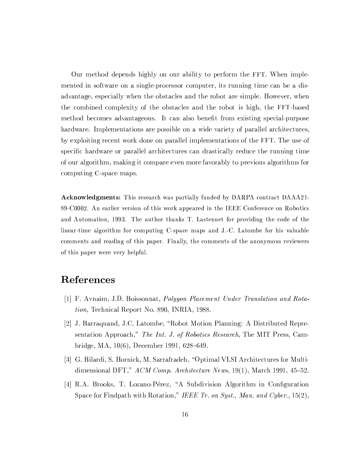Our method depends highly on our ability to perform the FFT. When implemented in software on a single-processor computer, its running time can be a disadvantage, especially when the obstacles and the robot are simple. However, when the combined complexity of the obstacles and the robot is high, the FFT-based method becomes advantageous. It can also benefit from existing special-purpose hardware. Implementations are possible on a wide variety of parallel architectures, by exploiting recent work done on parallel implementations of the FFT. The use of specific hardware or parallel architectures can drastically reduce the running time of our algorithm, making it compare even more favorably to previous algorithms for computing C-space maps.

**Acknowledgments:** This research was partially funded by DARPA contract DAAA21-89-C0002. An earlier version of this work appeared in the IEEE Conference on Robotics and Automation, 1993. The author thanks T. Lastennet for providing the code of the linear-time algorithm for computing C-space maps and J.-C. Latombe for his valuable comments and reading of this paper. Finally, the comments of the anonymous reviewers of this paper were very helpful.

### References

- [1] F. Avnaim, J.D. Boissonnat, Polygon Placement Under Translation and Rotation, Technical Report No. 890, INRIA, 1988.
- [2] J. Barraquand, J.C. Latombe, "Robot Motion Planning: A Distributed Representation Approach," The Int. J. of Robotics Research, The MIT Press, Cambridge, MA, 10(6), December 1991, 628-649.
- [3] G. Bilardi, S. Hornick, M. Sarrafradeh, "Optimal VLSI Architectures for Multidimensional DFT,"  $ACM$  Comp. Architecture News, 19(1), March 1991, 45-52.
- [4] R.A. Brooks, T. Lozano-Pérez, "A Subdivision Algorithm in Configuration Space for Findpath with Rotation," IEEE Tr. on Syst., Man, and Cyber., 15(2),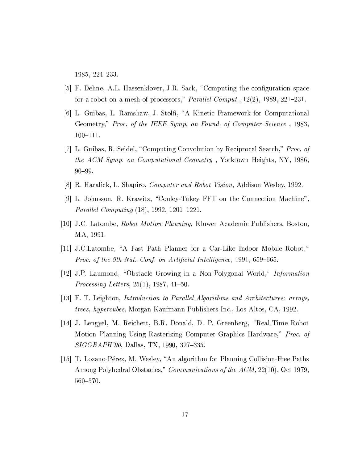1985, 224-233.

- [5] F. Dehne, A.L. Hassenklover, J.R. Sack, "Computing the configuration space for a robot on a mesh-of-processors," Parallel Comput.,  $12(2)$ ,  $1989$ ,  $221-231$ .
- [6] L. Guibas, L. Ramshaw, J. Stolfi, "A Kinetic Framework for Computational Geometry," Proc. of the IEEE Symp. on Found. of Computer Science, 1983,  $100 - 111.$
- [7] L. Guibas, R. Seidel, "Computing Convolution by Reciprocal Search," Proc. of the ACM Symp. on Computational Geometry, Yorktown Heights, NY, 1986,  $90 - 99.$
- [8] R. Haralick, L. Shapiro, *Computer and Robot Vision*, Addison Wesley, 1992.
- [9] L. Johnsson, R. Krawitz, "Cooley-Tukey FFT on the Connection Machine", *Parallel Computing*  $(18)$ , 1992, 1201-1221.
- [10] J.C. Latombe, *Robot Motion Planning*, Kluwer Academic Publishers, Boston, MA, 1991.
- [11] J.C.Latombe, "A Fast Path Planner for a Car-Like Indoor Mobile Robot," Proc. of the 9th Nat. Conf. on Artificial Intelligence, 1991, 659–665.
- [12] J.P. Laumond, "Obstacle Growing in a Non-Polygonal World," *Information Processing Letters*,  $25(1)$ ,  $1987$ ,  $41-50$ .
- [13] F. T. Leighton, *Introduction to Parallel Algorithms and Architectures: arrays*, *trees, hypercubes, Morgan Kaufmann Publishers Inc., Los Altos, CA, 1992.*
- [14] J. Lengyel, M. Reichert, B.R. Donald, D. P. Greenberg, "Real-Time Robot Motion Planning Using Rasterizing Computer Graphics Hardware," Proc. of SIGGRAPH'90, Dallas, TX, 1990, 327-335.
- [15] T. Lozano-Pérez, M. Wesley, "An algorithm for Planning Collision-Free Paths Among Polyhedral Obstacles," *Communications of the ACM*, 22(10), Oct 1979, 560-570.